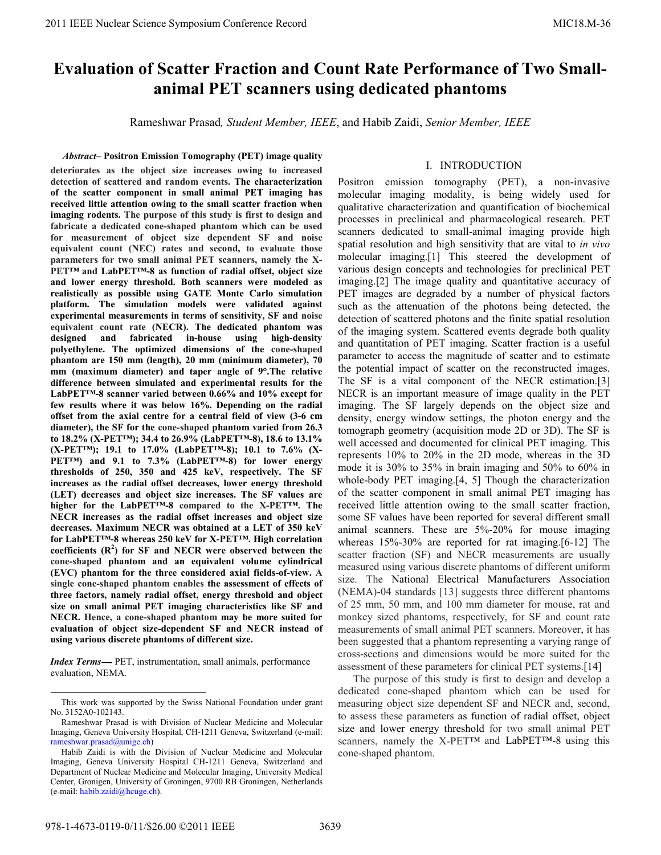# **Evaluation of Scatter Fraction and Count Rate Performance of Two Smallanimal PET scanners using dedicated phantoms**

Rameshwar Prasad*, Student Member, IEEE*, and Habib Zaidi, *Senior Member, IEEE*

## *Abstract–* **Positron Emission Tomography (PET) image quality**

**deteriorates as the object size increases owing to increased detection of scattered and random events. The characterization of the scatter component in small animal PET imaging has received little attention owing to the small scatter fraction when imaging rodents. The purpose of this study is first to design and fabricate a dedicated cone-shaped phantom which can be used for measurement of object size dependent SF and noise equivalent count (NEC) rates and second, to evaluate those parameters for two small animal PET scanners, namely the X-PET™ and LabPET™-8 as function of radial offset, object size and lower energy threshold. Both scanners were modeled as realistically as possible using GATE Monte Carlo simulation platform. The simulation models were validated against experimental measurements in terms of sensitivity, SF and noise equivalent count rate (NECR). The dedicated phantom was designed and fabricated in-house using high-density polyethylene. The optimized dimensions of the cone-shaped phantom are 150 mm (length), 20 mm (minimum diameter), 70 mm (maximum diameter) and taper angle of 9°.The relative difference between simulated and experimental results for the LabPET™-8 scanner varied between 0.66% and 10% except for few results where it was below 16%. Depending on the radial offset from the axial centre for a central field of view (3-6 cm diameter), the SF for the cone-shaped phantom varied from 26.3 to 18.2% (X-PET™); 34.4 to 26.9% (LabPET™-8), 18.6 to 13.1% (X-PET™); 19.1 to 17.0% (LabPET™-8); 10.1 to 7.6% (X-PET™) and 9.1 to 7.3% (LabPET™-8) for lower energy thresholds of 250, 350 and 425 keV, respectively. The SF increases as the radial offset decreases, lower energy threshold (LET) decreases and object size increases. The SF values are higher for the LabPET™-8 compared to the X-PET™. The NECR increases as the radial offset increases and object size decreases. Maximum NECR was obtained at a LET of 350 keV for LabPET™-8 whereas 250 keV for X-PET™. High correlation**  coefficients (R<sup>2</sup>) for SF and NECR were observed between the **cone-shaped phantom and an equivalent volume cylindrical (EVC) phantom for the three considered axial fields-of-view. A single cone-shaped phantom enables the assessment of effects of three factors, namely radial offset, energy threshold and object size on small animal PET imaging characteristics like SF and NECR. Hence, a cone-shaped phantom may be more suited for evaluation of object size-dependent SF and NECR instead of using various discrete phantoms of different size.** 

*Index Terms*—- PET, instrumentation, small animals, performance evaluation, NEMA.

# I. INTRODUCTION

Positron emission tomography (PET), a non-invasive molecular imaging modality, is being widely used for qualitative characterization and quantification of biochemical processes in preclinical and pharmacological research. PET scanners dedicated to small-animal imaging provide high spatial resolution and high sensitivity that are vital to *in vivo*  molecular imaging.[1] This steered the development of various design concepts and technologies for preclinical PET imaging.[2] The image quality and quantitative accuracy of PET images are degraded by a number of physical factors such as the attenuation of the photons being detected, the detection of scattered photons and the finite spatial resolution of the imaging system. Scattered events degrade both quality and quantitation of PET imaging. Scatter fraction is a useful parameter to access the magnitude of scatter and to estimate the potential impact of scatter on the reconstructed images. The SF is a vital component of the NECR estimation.[3] NECR is an important measure of image quality in the PET imaging. The SF largely depends on the object size and density, energy window settings, the photon energy and the tomograph geometry (acquisition mode 2D or 3D). The SF is well accessed and documented for clinical PET imaging. This represents 10% to 20% in the 2D mode, whereas in the 3D mode it is 30% to 35% in brain imaging and 50% to 60% in whole-body PET imaging.[4, 5] Though the characterization of the scatter component in small animal PET imaging has received little attention owing to the small scatter fraction, some SF values have been reported for several different small animal scanners. These are 5%-20% for mouse imaging whereas 15%-30% are reported for rat imaging.[6-12] The scatter fraction (SF) and NECR measurements are usually measured using various discrete phantoms of different uniform size. The National Electrical Manufacturers Association (NEMA)-04 standards [13] suggests three different phantoms of 25 mm, 50 mm, and 100 mm diameter for mouse, rat and monkey sized phantoms, respectively, for SF and count rate measurements of small animal PET scanners. Moreover, it has been suggested that a phantom representing a varying range of cross-sections and dimensions would be more suited for the assessment of these parameters for clinical PET systems.[14]

The purpose of this study is first to design and develop a dedicated cone-shaped phantom which can be used for measuring object size dependent SF and NECR and, second, to assess these parameters as function of radial offset, object size and lower energy threshold for two small animal PET scanners, namely the X-PET™ and LabPET™-8 using this cone-shaped phantom.

This work was supported by the Swiss National Foundation under grant No. 3152A0-102143.

Rameshwar Prasad is with Division of Nuclear Medicine and Molecular Imaging, Geneva University Hospital, CH-1211 Geneva, Switzerland (e-mail: rameshwar.prasad@unige.ch)

Habib Zaidi is with the Division of Nuclear Medicine and Molecular Imaging, Geneva University Hospital CH-1211 Geneva, Switzerland and Department of Nuclear Medicine and Molecular Imaging, University Medical Center, Gronigen, University of Groningen, 9700 RB Groningen, Netherlands (e-mail: habib.zaidi@hcuge.ch).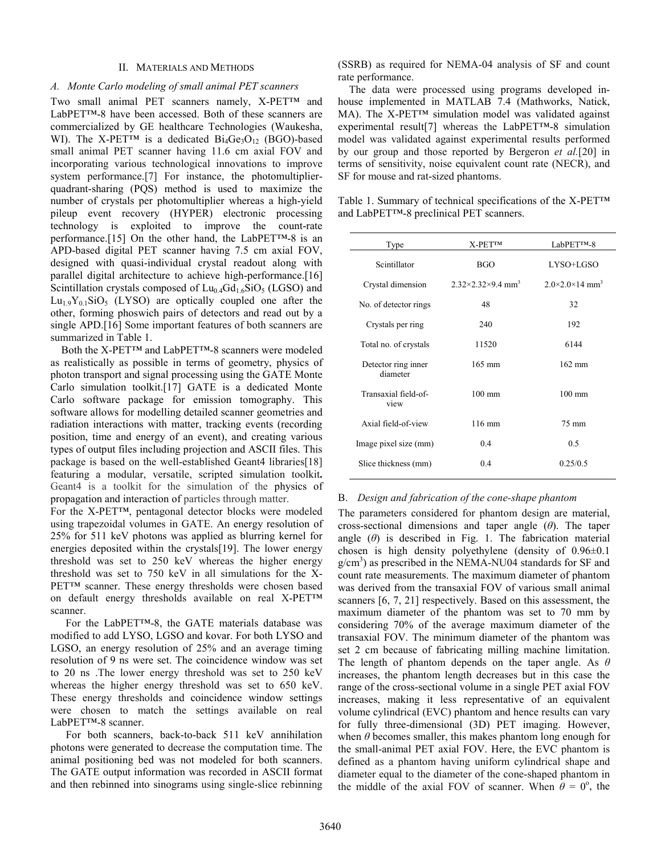## II. MATERIALS AND METHODS

## *A. Monte Carlo modeling of small animal PET scanners*

Two small animal PET scanners namely, X-PET<sup>TM</sup> and LabPET™-8 have been accessed. Both of these scanners are commercialized by GE healthcare Technologies (Waukesha, WI). The X-PET<sup>TM</sup> is a dedicated  $Bi_4Ge_3O_12$  (BGO)-based small animal PET scanner having 11.6 cm axial FOV and incorporating various technological innovations to improve system performance.[7] For instance, the photomultiplierquadrant-sharing (PQS) method is used to maximize the number of crystals per photomultiplier whereas a high-yield pileup event recovery (HYPER) electronic processing technology is exploited to improve the count-rate performance.[15] On the other hand, the LabPET™-8 is an APD-based digital PET scanner having 7.5 cm axial FOV, designed with quasi-individual crystal readout along with parallel digital architecture to achieve high-performance.[16] Scintillation crystals composed of  $Lu_{0.4}Gd_{1.6}SiO_5$  (LGSO) and  $Lu_19Y_01SiO_5$  (LYSO) are optically coupled one after the other, forming phoswich pairs of detectors and read out by a single APD.[16] Some important features of both scanners are summarized in Table 1.

 Both the X-PET™ and LabPET™-8 scanners were modeled as realistically as possible in terms of geometry, physics of photon transport and signal processing using the GATE Monte Carlo simulation toolkit.[17] GATE is a dedicated Monte Carlo software package for emission tomography. This software allows for modelling detailed scanner geometries and radiation interactions with matter, tracking events (recording position, time and energy of an event), and creating various types of output files including projection and ASCII files. This package is based on the well-established Geant4 libraries[18] featuring a modular, versatile, scripted simulation toolkit**.**  Geant4 is a toolkit for the simulation of the physics of propagation and interaction of particles through matter.

For the X-PET™, pentagonal detector blocks were modeled using trapezoidal volumes in GATE. An energy resolution of 25% for 511 keV photons was applied as blurring kernel for energies deposited within the crystals[19]. The lower energy threshold was set to 250 keV whereas the higher energy threshold was set to 750 keV in all simulations for the X-PET™ scanner. These energy thresholds were chosen based on default energy thresholds available on real X-PET™ scanner.

For the LabPET™-8, the GATE materials database was modified to add LYSO, LGSO and kovar. For both LYSO and LGSO, an energy resolution of 25% and an average timing resolution of 9 ns were set. The coincidence window was set to 20 ns .The lower energy threshold was set to 250 keV whereas the higher energy threshold was set to 650 keV. These energy thresholds and coincidence window settings were chosen to match the settings available on real LabPET™-8 scanner.

For both scanners, back-to-back 511 keV annihilation photons were generated to decrease the computation time. The animal positioning bed was not modeled for both scanners. The GATE output information was recorded in ASCII format and then rebinned into sinograms using single-slice rebinning (SSRB) as required for NEMA-04 analysis of SF and count rate performance.

The data were processed using programs developed inhouse implemented in MATLAB 7.4 (Mathworks, Natick, MA). The X-PET™ simulation model was validated against experimental result[7] whereas the LabPET™-8 simulation model was validated against experimental results performed by our group and those reported by Bergeron *et al.*[20] in terms of sensitivity, noise equivalent count rate (NECR), and SF for mouse and rat-sized phantoms.

Table 1. Summary of technical specifications of the X-PET™ and LabPET™-8 preclinical PET scanners.

| Type                            | $X-PETTM$                                 | LabPET™-8                              |
|---------------------------------|-------------------------------------------|----------------------------------------|
| Scintillator                    | <b>BGO</b>                                | LYSO+LGSO                              |
| Crystal dimension               | $2.32\times2.32\times9.4$ mm <sup>3</sup> | $2.0\times2.0\times14$ mm <sup>3</sup> |
| No. of detector rings           | 48                                        | 32                                     |
| Crystals per ring               | 240                                       | 192                                    |
| Total no. of crystals           | 11520                                     | 6144                                   |
| Detector ring inner<br>diameter | $165$ mm                                  | $162$ mm                               |
| Transaxial field-of-<br>view    | $100 \text{ mm}$                          | $100$ mm                               |
| Axial field-of-view             | $116 \text{ mm}$                          | 75 mm                                  |
| Image pixel size (mm)           | 0.4                                       | 0.5                                    |
| Slice thickness (mm)            | 0.4                                       | 0.25/0.5                               |

#### B. *Design and fabrication of the cone-shape phantom*

The parameters considered for phantom design are material, cross-sectional dimensions and taper angle (*θ*). The taper angle  $(\theta)$  is described in Fig. 1. The fabrication material chosen is high density polyethylene (density of 0.96±0.1 g/cm<sup>3</sup>) as prescribed in the NEMA-NU04 standards for SF and count rate measurements. The maximum diameter of phantom was derived from the transaxial FOV of various small animal scanners [6, 7, 21] respectively. Based on this assessment, the maximum diameter of the phantom was set to 70 mm by considering 70% of the average maximum diameter of the transaxial FOV. The minimum diameter of the phantom was set 2 cm because of fabricating milling machine limitation. The length of phantom depends on the taper angle. As *θ* increases, the phantom length decreases but in this case the range of the cross-sectional volume in a single PET axial FOV increases, making it less representative of an equivalent volume cylindrical (EVC) phantom and hence results can vary for fully three-dimensional (3D) PET imaging. However, when *θ* becomes smaller, this makes phantom long enough for the small-animal PET axial FOV. Here, the EVC phantom is defined as a phantom having uniform cylindrical shape and diameter equal to the diameter of the cone-shaped phantom in the middle of the axial FOV of scanner. When  $\theta = 0^{\circ}$ , the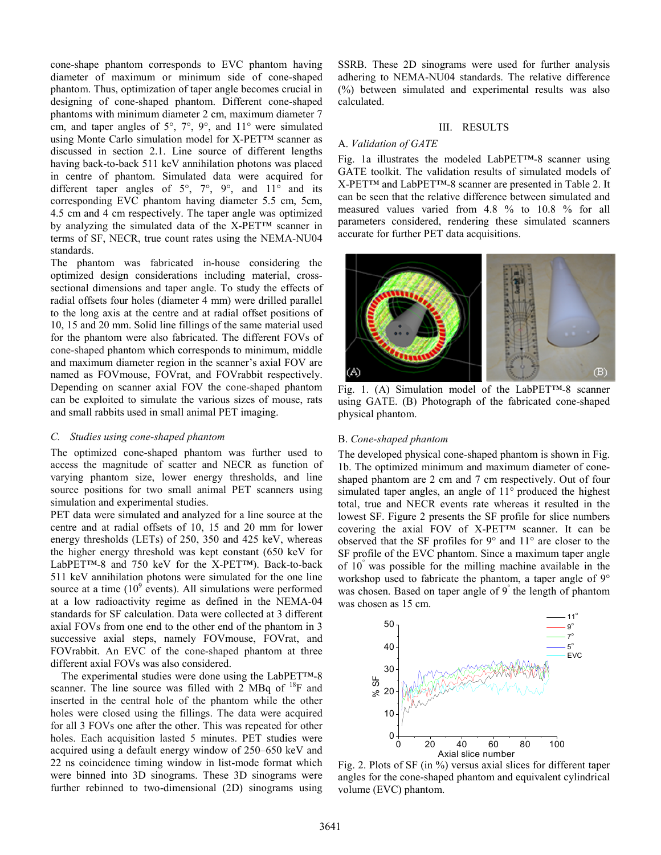cone-shape phantom corresponds to EVC phantom having diameter of maximum or minimum side of cone-shaped phantom. Thus, optimization of taper angle becomes crucial in designing of cone-shaped phantom. Different cone-shaped phantoms with minimum diameter 2 cm, maximum diameter 7 cm, and taper angles of 5°, 7°, 9°, and 11° were simulated using Monte Carlo simulation model for X-PET™ scanner as discussed in section 2.1. Line source of different lengths having back-to-back 511 keV annihilation photons was placed in centre of phantom. Simulated data were acquired for different taper angles of  $5^\circ$ ,  $7^\circ$ ,  $9^\circ$ , and  $11^\circ$  and its corresponding EVC phantom having diameter 5.5 cm, 5cm, 4.5 cm and 4 cm respectively. The taper angle was optimized by analyzing the simulated data of the X-PET™ scanner in terms of SF, NECR, true count rates using the NEMA-NU04 standards.

The phantom was fabricated in-house considering the optimized design considerations including material, crosssectional dimensions and taper angle. To study the effects of radial offsets four holes (diameter 4 mm) were drilled parallel to the long axis at the centre and at radial offset positions of 10, 15 and 20 mm. Solid line fillings of the same material used for the phantom were also fabricated. The different FOVs of cone-shaped phantom which corresponds to minimum, middle and maximum diameter region in the scanner's axial FOV are named as FOVmouse, FOVrat, and FOVrabbit respectively. Depending on scanner axial FOV the cone-shaped phantom can be exploited to simulate the various sizes of mouse, rats and small rabbits used in small animal PET imaging.

## *C. Studies using cone-shaped phantom*

The optimized cone-shaped phantom was further used to access the magnitude of scatter and NECR as function of varying phantom size, lower energy thresholds, and line source positions for two small animal PET scanners using simulation and experimental studies.

PET data were simulated and analyzed for a line source at the centre and at radial offsets of 10, 15 and 20 mm for lower energy thresholds (LETs) of 250, 350 and 425 keV, whereas the higher energy threshold was kept constant (650 keV for LabPET™-8 and 750 keV for the X-PET™). Back-to-back 511 keV annihilation photons were simulated for the one line source at a time  $(10^9 \text{ events})$ . All simulations were performed at a low radioactivity regime as defined in the NEMA-04 standards for SF calculation. Data were collected at 3 different axial FOVs from one end to the other end of the phantom in 3 successive axial steps, namely FOVmouse, FOVrat, and FOVrabbit. An EVC of the cone-shaped phantom at three different axial FOVs was also considered.

The experimental studies were done using the LabPET™-8 scanner. The line source was filled with 2 MBq of  $^{18}$ F and inserted in the central hole of the phantom while the other holes were closed using the fillings. The data were acquired for all 3 FOVs one after the other. This was repeated for other holes. Each acquisition lasted 5 minutes. PET studies were acquired using a default energy window of 250–650 keV and 22 ns coincidence timing window in list-mode format which were binned into 3D sinograms. These 3D sinograms were further rebinned to two-dimensional (2D) sinograms using SSRB. These 2D sinograms were used for further analysis adhering to NEMA-NU04 standards. The relative difference (%) between simulated and experimental results was also calculated.

# III. RESULTS

# A. *Validation of GATE*

Fig. 1a illustrates the modeled LabPET™-8 scanner using GATE toolkit. The validation results of simulated models of X-PET™ and LabPET™-8 scanner are presented in Table 2. It can be seen that the relative difference between simulated and measured values varied from 4.8 % to 10.8 % for all parameters considered, rendering these simulated scanners accurate for further PET data acquisitions.



Fig. 1. (A) Simulation model of the LabPET™-8 scanner using GATE. (B) Photograph of the fabricated cone-shaped physical phantom.

## B. *Cone-shaped phantom*

The developed physical cone-shaped phantom is shown in Fig. 1b. The optimized minimum and maximum diameter of coneshaped phantom are 2 cm and 7 cm respectively. Out of four simulated taper angles, an angle of 11° produced the highest total, true and NECR events rate whereas it resulted in the lowest SF. Figure 2 presents the SF profile for slice numbers covering the axial FOV of X-PET™ scanner. It can be observed that the SF profiles for 9° and 11° are closer to the SF profile of the EVC phantom. Since a maximum taper angle of 10° was possible for the milling machine available in the workshop used to fabricate the phantom, a taper angle of 9° was chosen. Based on taper angle of 9<sup>°</sup> the length of phantom was chosen as 15 cm.



Fig. 2. Plots of SF (in %) versus axial slices for different taper angles for the cone-shaped phantom and equivalent cylindrical volume (EVC) phantom.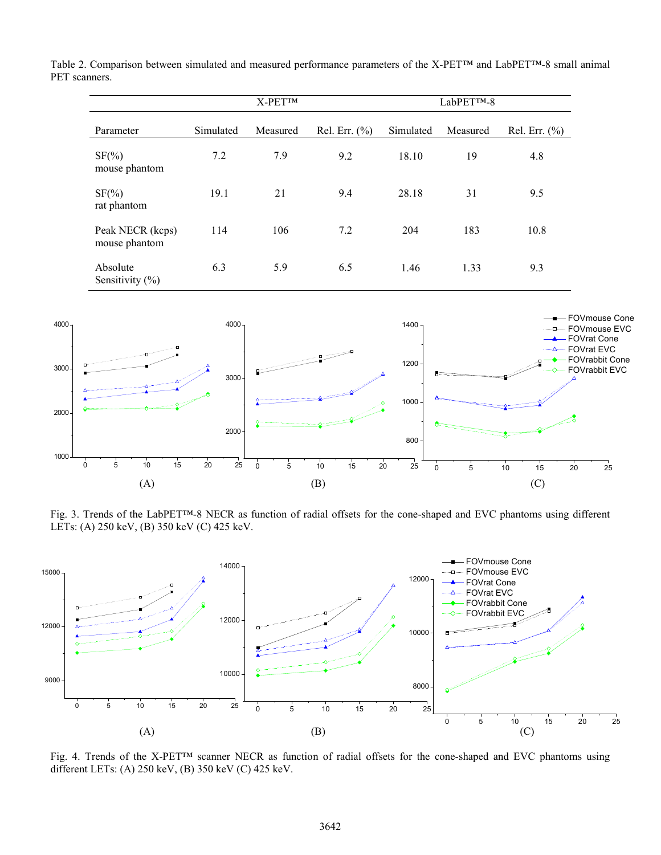Table 2. Comparison between simulated and measured performance parameters of the X-PET™ and LabPET™-8 small animal PET scanners.

|                                   |                                          | X-PET™ |     | LabPET™-8 |          |                   |  |  |  |
|-----------------------------------|------------------------------------------|--------|-----|-----------|----------|-------------------|--|--|--|
| Parameter                         | Simulated<br>Rel. Err. $(\%$<br>Measured |        |     | Simulated | Measured | Rel. Err. $(\% )$ |  |  |  |
| $SF(\%)$<br>mouse phantom         | 7.2                                      | 7.9    | 9.2 | 18.10     | 19       | 4.8               |  |  |  |
| $SF(\%)$<br>rat phantom           | 19.1                                     | 21     | 9.4 | 28.18     | 31       | 9.5               |  |  |  |
| Peak NECR (kcps)<br>mouse phantom | 114                                      | 106    | 7.2 | 204       | 183      | 10.8              |  |  |  |
| Absolute<br>Sensitivity $(\% )$   | 6.3                                      | 5.9    | 6.5 | 1.46      | 1.33     | 9.3               |  |  |  |



Fig. 3. Trends of the LabPET™-8 NECR as function of radial offsets for the cone-shaped and EVC phantoms using different LETs: (A) 250 keV, (B) 350 keV (C) 425 keV.



Fig. 4. Trends of the X-PET™ scanner NECR as function of radial offsets for the cone-shaped and EVC phantoms using different LETs: (A) 250 keV, (B) 350 keV (C) 425 keV.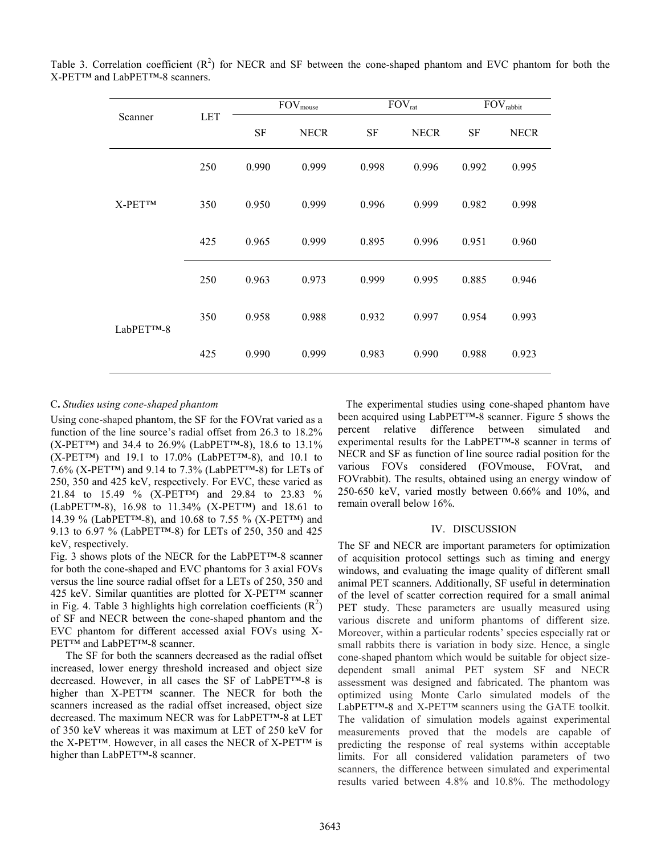|            |            |           | $\mathrm{FOV}_{\mathrm{mouse}}$ |           | $\mathrm{FOV}_{\mathrm{rat}}$ | FOV <sub>rabbit</sub> |             |  |
|------------|------------|-----------|---------------------------------|-----------|-------------------------------|-----------------------|-------------|--|
| Scanner    | <b>LET</b> | <b>SF</b> | <b>NECR</b>                     | <b>SF</b> | <b>NECR</b>                   | <b>SF</b>             | <b>NECR</b> |  |
|            | 250        | 0.990     | 0.999                           | 0.998     | 0.996                         | 0.992                 | 0.995       |  |
| $X-PETTM$  | 350        | 0.950     | 0.999                           | 0.996     | 0.999                         | 0.982                 | 0.998       |  |
|            | 425        | 0.965     | 0.999                           | 0.895     | 0.996                         | 0.951                 | 0.960       |  |
|            | 250        | 0.963     | 0.973                           | 0.999     | 0.995                         | 0.885                 | 0.946       |  |
| LabPETTM-8 | 350        | 0.958     | 0.988                           | 0.932     | 0.997                         | 0.954                 | 0.993       |  |
|            | 425        | 0.990     | 0.999                           | 0.983     | 0.990                         | 0.988                 | 0.923       |  |

| Table 3. Correlation coefficient $(R^2)$ for NECR and SF between the cone-shaped phantom and EVC phantom for both the |  |  |  |  |  |  |  |
|-----------------------------------------------------------------------------------------------------------------------|--|--|--|--|--|--|--|
| X-PET™ and LabPET™-8 scanners.                                                                                        |  |  |  |  |  |  |  |

# C**.** *Studies using cone-shaped phantom*

Using cone-shaped phantom, the SF for the FOVrat varied as a function of the line source's radial offset from 26.3 to 18.2% (X-PET™) and 34.4 to 26.9% (LabPET™-8), 18.6 to 13.1%  $(X-PETTM)$  and 19.1 to 17.0% (LabPET<sup>TM</sup>-8), and 10.1 to 7.6% (X-PET™) and 9.14 to 7.3% (LabPET™-8) for LETs of 250, 350 and 425 keV, respectively. For EVC, these varied as 21.84 to 15.49 % (X-PET™) and 29.84 to 23.83 % (LabPET™-8), 16.98 to 11.34% (X-PET™) and 18.61 to 14.39 % (LabPET™-8), and 10.68 to 7.55 % (X-PET™) and 9.13 to 6.97 % (LabPET™-8) for LETs of 250, 350 and 425 keV, respectively.

Fig. 3 shows plots of the NECR for the LabPET™-8 scanner for both the cone-shaped and EVC phantoms for 3 axial FOVs versus the line source radial offset for a LETs of 250, 350 and 425 keV. Similar quantities are plotted for X-PET™ scanner in Fig. 4. Table 3 highlights high correlation coefficients  $(R^2)$ of SF and NECR between the cone-shaped phantom and the EVC phantom for different accessed axial FOVs using X-PET™ and LabPET™-8 scanner.

The SF for both the scanners decreased as the radial offset increased, lower energy threshold increased and object size decreased. However, in all cases the SF of LabPET™-8 is higher than X-PET™ scanner. The NECR for both the scanners increased as the radial offset increased, object size decreased. The maximum NECR was for LabPET™-8 at LET of 350 keV whereas it was maximum at LET of 250 keV for the X-PET™. However, in all cases the NECR of X-PET™ is higher than LabPET™-8 scanner.

 The experimental studies using cone-shaped phantom have been acquired using LabPET™-8 scanner. Figure 5 shows the percent relative difference between simulated and experimental results for the LabPET™-8 scanner in terms of NECR and SF as function of line source radial position for the various FOVs considered (FOVmouse, FOVrat, and FOVrabbit). The results, obtained using an energy window of 250-650 keV, varied mostly between 0.66% and 10%, and remain overall below 16%.

## IV. DISCUSSION

The SF and NECR are important parameters for optimization of acquisition protocol settings such as timing and energy windows, and evaluating the image quality of different small animal PET scanners. Additionally, SF useful in determination of the level of scatter correction required for a small animal PET study. These parameters are usually measured using various discrete and uniform phantoms of different size. Moreover, within a particular rodents' species especially rat or small rabbits there is variation in body size. Hence, a single cone-shaped phantom which would be suitable for object sizedependent small animal PET system SF and NECR assessment was designed and fabricated. The phantom was optimized using Monte Carlo simulated models of the LabPET™-8 and X-PET™ scanners using the GATE toolkit. The validation of simulation models against experimental measurements proved that the models are capable of predicting the response of real systems within acceptable limits. For all considered validation parameters of two scanners, the difference between simulated and experimental results varied between 4.8% and 10.8%. The methodology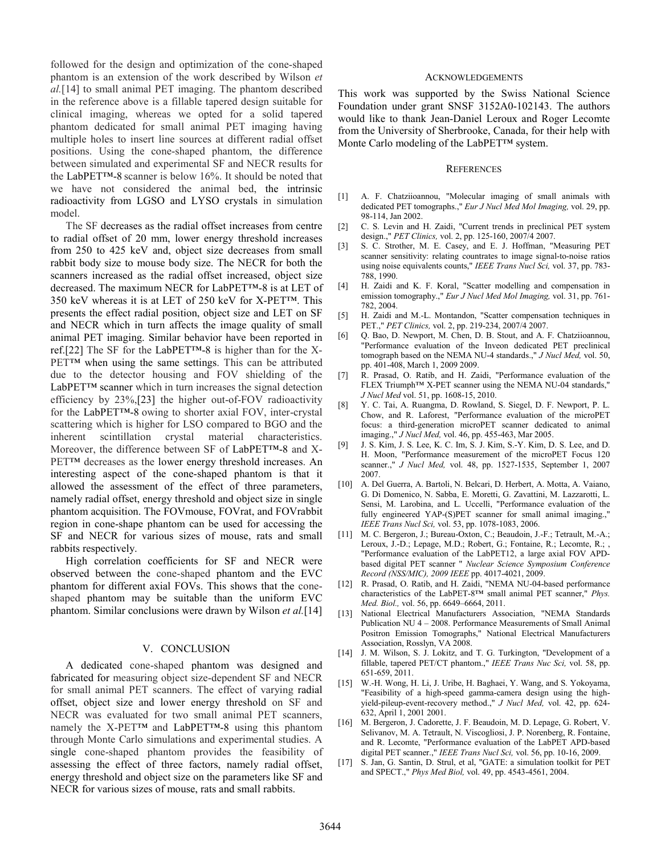followed for the design and optimization of the cone-shaped phantom is an extension of the work described by Wilson *et al.*[14] to small animal PET imaging. The phantom described in the reference above is a fillable tapered design suitable for clinical imaging, whereas we opted for a solid tapered phantom dedicated for small animal PET imaging having multiple holes to insert line sources at different radial offset positions. Using the cone-shaped phantom, the difference between simulated and experimental SF and NECR results for the LabPET™-8 scanner is below 16%. It should be noted that we have not considered the animal bed, the intrinsic radioactivity from LGSO and LYSO crystals in simulation model.

The SF decreases as the radial offset increases from centre to radial offset of 20 mm, lower energy threshold increases from 250 to 425 keV and, object size decreases from small rabbit body size to mouse body size. The NECR for both the scanners increased as the radial offset increased, object size decreased. The maximum NECR for LabPET™-8 is at LET of 350 keV whereas it is at LET of 250 keV for X-PET™. This presents the effect radial position, object size and LET on SF and NECR which in turn affects the image quality of small animal PET imaging. Similar behavior have been reported in ref.[22] The SF for the LabPET<sup>TM</sup>-8 is higher than for the X-PET™ when using the same settings. This can be attributed due to the detector housing and FOV shielding of the LabPET™ scanner which in turn increases the signal detection efficiency by 23%,[23] the higher out-of-FOV radioactivity for the LabPET™-8 owing to shorter axial FOV, inter-crystal scattering which is higher for LSO compared to BGO and the inherent scintillation crystal material characteristics. Moreover, the difference between SF of LabPET™-8 and X-PET<sup>TM</sup> decreases as the lower energy threshold increases. An interesting aspect of the cone-shaped phantom is that it allowed the assessment of the effect of three parameters, namely radial offset, energy threshold and object size in single phantom acquisition. The FOVmouse, FOVrat, and FOVrabbit region in cone-shape phantom can be used for accessing the SF and NECR for various sizes of mouse, rats and small rabbits respectively.

High correlation coefficients for SF and NECR were observed between the cone-shaped phantom and the EVC phantom for different axial FOVs. This shows that the coneshaped phantom may be suitable than the uniform EVC phantom. Similar conclusions were drawn by Wilson *et al.*[14]

### V. CONCLUSION

A dedicated cone-shaped phantom was designed and fabricated for measuring object size-dependent SF and NECR for small animal PET scanners. The effect of varying radial offset, object size and lower energy threshold on SF and NECR was evaluated for two small animal PET scanners, namely the X-PET<sup>™</sup> and LabPET<sup>™</sup>-8 using this phantom through Monte Carlo simulations and experimental studies. A single cone-shaped phantom provides the feasibility of assessing the effect of three factors, namely radial offset, energy threshold and object size on the parameters like SF and NECR for various sizes of mouse, rats and small rabbits.

#### ACKNOWLEDGEMENTS

This work was supported by the Swiss National Science Foundation under grant SNSF 3152A0-102143. The authors would like to thank Jean-Daniel Leroux and Roger Lecomte from the University of Sherbrooke, Canada, for their help with Monte Carlo modeling of the LabPET™ system.

#### **REFERENCES**

- [1] A. F. Chatziioannou, "Molecular imaging of small animals with dedicated PET tomographs.," *Eur J Nucl Med Mol Imaging,* vol. 29, pp. 98-114, Jan 2002.
- [2] C. S. Levin and H. Zaidi, "Current trends in preclinical PET system design.," *PET Clinics,* vol. 2, pp. 125-160, 2007/4 2007.
- [3] S. C. Strother, M. E. Casey, and E. J. Hoffman, "Measuring PET scanner sensitivity: relating countrates to image signal-to-noise ratios using noise equivalents counts," *IEEE Trans Nucl Sci,* vol. 37, pp. 783- 788, 1990.
- [4] H. Zaidi and K. F. Koral, "Scatter modelling and compensation in emission tomography.," *Eur J Nucl Med Mol Imaging,* vol. 31, pp. 761- 782, 2004.
- [5] H. Zaidi and M.-L. Montandon, "Scatter compensation techniques in PET.," *PET Clinics,* vol. 2, pp. 219-234, 2007/4 2007.
- [6] Q. Bao, D. Newport, M. Chen, D. B. Stout, and A. F. Chatziioannou, "Performance evaluation of the Inveon dedicated PET preclinical tomograph based on the NEMA NU-4 standards.," *J Nucl Med,* vol. 50, pp. 401-408, March 1, 2009 2009.
- [7] R. Prasad, O. Ratib, and H. Zaidi, "Performance evaluation of the FLEX Triumph™ X-PET scanner using the NEMA NU-04 standards," *J Nucl Med* vol. 51, pp. 1608-15, 2010.
- [8] Y. C. Tai, A. Ruangma, D. Rowland, S. Siegel, D. F. Newport, P. L. Chow, and R. Laforest, "Performance evaluation of the microPET focus: a third-generation microPET scanner dedicated to animal imaging.," *J Nucl Med,* vol. 46, pp. 455-463, Mar 2005.
- [9] J. S. Kim, J. S. Lee, K. C. Im, S. J. Kim, S.-Y. Kim, D. S. Lee, and D. H. Moon, "Performance measurement of the microPET Focus 120 scanner.," *J Nucl Med,* vol. 48, pp. 1527-1535, September 1, 2007 2007.
- [10] A. Del Guerra, A. Bartoli, N. Belcari, D. Herbert, A. Motta, A. Vaiano, G. Di Domenico, N. Sabba, E. Moretti, G. Zavattini, M. Lazzarotti, L. Sensi, M. Larobina, and L. Uccelli, "Performance evaluation of the fully engineered YAP-(S)PET scanner for small animal imaging.," *IEEE Trans Nucl Sci,* vol. 53, pp. 1078-1083, 2006.
- [11] M. C. Bergeron, J.; Bureau-Oxton, C.; Beaudoin, J.-F.; Tetrault, M.-A.; Leroux, J.-D.; Lepage, M.D.; Robert, G.; Fontaine, R.; Lecomte, R.; , "Performance evaluation of the LabPET12, a large axial FOV APDbased digital PET scanner " *Nuclear Science Symposium Conference Record (NSS/MIC), 2009 IEEE* pp. 4017-4021, 2009.
- [12] R. Prasad, O. Ratib, and H. Zaidi, "NEMA NU-04-based performance characteristics of the LabPET-8™ small animal PET scanner," *Phys. Med. Biol.,* vol. 56, pp. 6649–6664, 2011.
- [13] National Electrical Manufacturers Association, "NEMA Standards Publication NU 4 – 2008. Performance Measurements of Small Animal Positron Emission Tomographs," National Electrical Manufacturers Association, Rosslyn, VA 2008.
- [14] J. M. Wilson, S. J. Lokitz, and T. G. Turkington, "Development of a fillable, tapered PET/CT phantom.," *IEEE Trans Nuc Sci,* vol. 58, pp. 651-659, 2011.
- [15] W.-H. Wong, H. Li, J. Uribe, H. Baghaei, Y. Wang, and S. Yokoyama, "Feasibility of a high-speed gamma-camera design using the highyield-pileup-event-recovery method.," *J Nucl Med,* vol. 42, pp. 624- 632, April 1, 2001 2001.
- [16] M. Bergeron, J. Cadorette, J. F. Beaudoin, M. D. Lepage, G. Robert, V. Selivanov, M. A. Tetrault, N. Viscogliosi, J. P. Norenberg, R. Fontaine, and R. Lecomte, "Performance evaluation of the LabPET APD-based digital PET scanner.," *IEEE Trans Nucl Sci,* vol. 56, pp. 10-16, 2009.
- [17] S. Jan, G. Santin, D. Strul, et al, "GATE: a simulation toolkit for PET and SPECT.," *Phys Med Biol,* vol. 49, pp. 4543-4561, 2004.